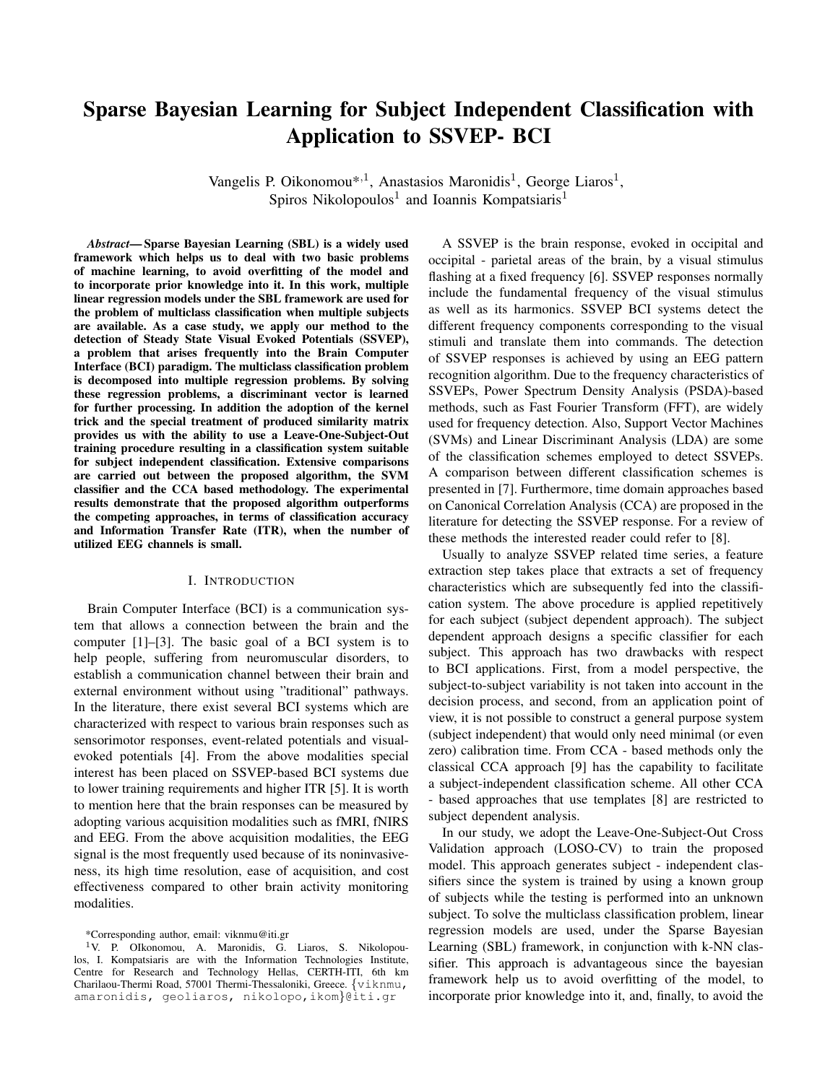# Sparse Bayesian Learning for Subject Independent Classification with Application to SSVEP- BCI

Vangelis P. Oikonomou\*,<sup>1</sup>, Anastasios Maronidis<sup>1</sup>, George Liaros<sup>1</sup>, Spiros Nikolopoulos<sup>1</sup> and Ioannis Kompatsiaris<sup>1</sup>

*Abstract*— Sparse Bayesian Learning (SBL) is a widely used framework which helps us to deal with two basic problems of machine learning, to avoid overfitting of the model and to incorporate prior knowledge into it. In this work, multiple linear regression models under the SBL framework are used for the problem of multiclass classification when multiple subjects are available. As a case study, we apply our method to the detection of Steady State Visual Evoked Potentials (SSVEP), a problem that arises frequently into the Brain Computer Interface (BCI) paradigm. The multiclass classification problem is decomposed into multiple regression problems. By solving these regression problems, a discriminant vector is learned for further processing. In addition the adoption of the kernel trick and the special treatment of produced similarity matrix provides us with the ability to use a Leave-One-Subject-Out training procedure resulting in a classification system suitable for subject independent classification. Extensive comparisons are carried out between the proposed algorithm, the SVM classifier and the CCA based methodology. The experimental results demonstrate that the proposed algorithm outperforms the competing approaches, in terms of classification accuracy and Information Transfer Rate (ITR), when the number of utilized EEG channels is small.

#### I. INTRODUCTION

Brain Computer Interface (BCI) is a communication system that allows a connection between the brain and the computer [1]–[3]. The basic goal of a BCI system is to help people, suffering from neuromuscular disorders, to establish a communication channel between their brain and external environment without using "traditional" pathways. In the literature, there exist several BCI systems which are characterized with respect to various brain responses such as sensorimotor responses, event-related potentials and visualevoked potentials [4]. From the above modalities special interest has been placed on SSVEP-based BCI systems due to lower training requirements and higher ITR [5]. It is worth to mention here that the brain responses can be measured by adopting various acquisition modalities such as fMRI, fNIRS and EEG. From the above acquisition modalities, the EEG signal is the most frequently used because of its noninvasiveness, its high time resolution, ease of acquisition, and cost effectiveness compared to other brain activity monitoring modalities.

A SSVEP is the brain response, evoked in occipital and occipital - parietal areas of the brain, by a visual stimulus flashing at a fixed frequency [6]. SSVEP responses normally include the fundamental frequency of the visual stimulus as well as its harmonics. SSVEP BCI systems detect the different frequency components corresponding to the visual stimuli and translate them into commands. The detection of SSVEP responses is achieved by using an EEG pattern recognition algorithm. Due to the frequency characteristics of SSVEPs, Power Spectrum Density Analysis (PSDA)-based methods, such as Fast Fourier Transform (FFT), are widely used for frequency detection. Also, Support Vector Machines (SVMs) and Linear Discriminant Analysis (LDA) are some of the classification schemes employed to detect SSVEPs. A comparison between different classification schemes is presented in [7]. Furthermore, time domain approaches based on Canonical Correlation Analysis (CCA) are proposed in the literature for detecting the SSVEP response. For a review of these methods the interested reader could refer to [8].

Usually to analyze SSVEP related time series, a feature extraction step takes place that extracts a set of frequency characteristics which are subsequently fed into the classification system. The above procedure is applied repetitively for each subject (subject dependent approach). The subject dependent approach designs a specific classifier for each subject. This approach has two drawbacks with respect to BCI applications. First, from a model perspective, the subject-to-subject variability is not taken into account in the decision process, and second, from an application point of view, it is not possible to construct a general purpose system (subject independent) that would only need minimal (or even zero) calibration time. From CCA - based methods only the classical CCA approach [9] has the capability to facilitate a subject-independent classification scheme. All other CCA - based approaches that use templates [8] are restricted to subject dependent analysis.

In our study, we adopt the Leave-One-Subject-Out Cross Validation approach (LOSO-CV) to train the proposed model. This approach generates subject - independent classifiers since the system is trained by using a known group of subjects while the testing is performed into an unknown subject. To solve the multiclass classification problem, linear regression models are used, under the Sparse Bayesian Learning (SBL) framework, in conjunction with k-NN classifier. This approach is advantageous since the bayesian framework help us to avoid overfitting of the model, to incorporate prior knowledge into it, and, finally, to avoid the

<sup>\*</sup>Corresponding author, email: viknmu@iti.gr

<sup>1</sup>V. P. OIkonomou, A. Maronidis, G. Liaros, S. Nikolopoulos, I. Kompatsiaris are with the Information Technologies Institute, Centre for Research and Technology Hellas, CERTH-ITI, 6th km Charilaou-Thermi Road, 57001 Thermi-Thessaloniki, Greece. {viknmu, amaronidis, geoliaros, nikolopo,ikom}@iti.gr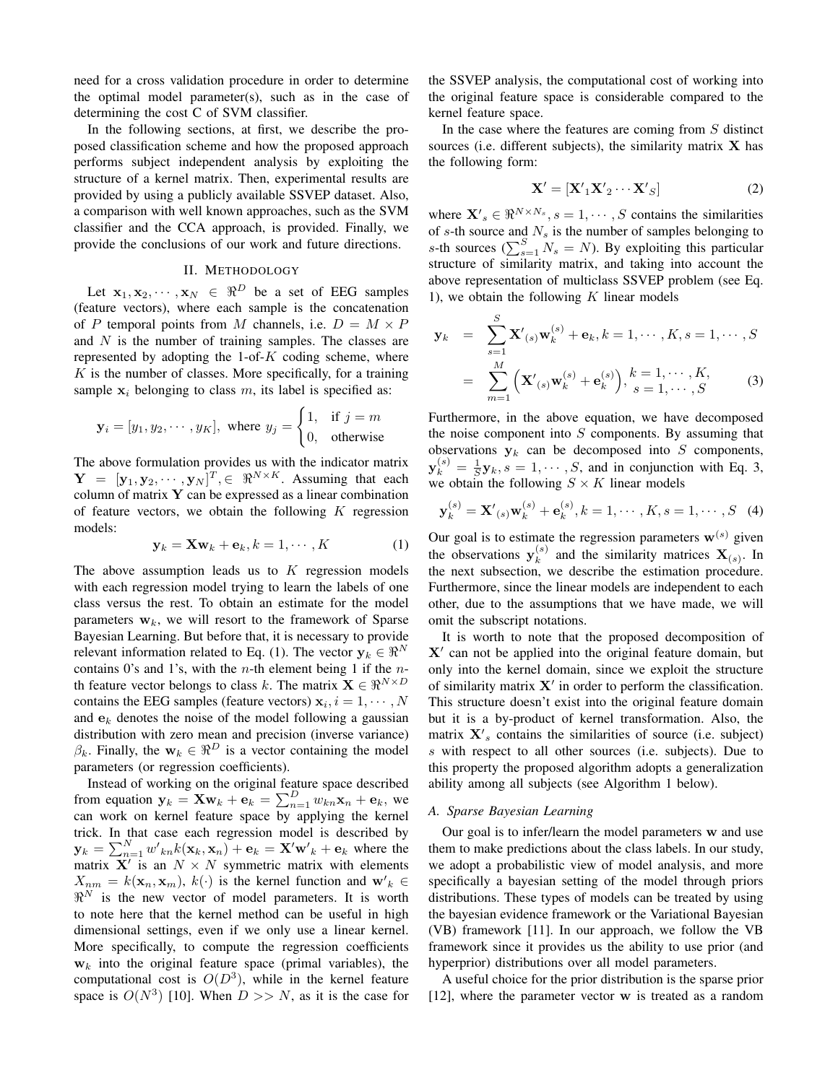need for a cross validation procedure in order to determine the optimal model parameter(s), such as in the case of determining the cost C of SVM classifier.

In the following sections, at first, we describe the proposed classification scheme and how the proposed approach performs subject independent analysis by exploiting the structure of a kernel matrix. Then, experimental results are provided by using a publicly available SSVEP dataset. Also, a comparison with well known approaches, such as the SVM classifier and the CCA approach, is provided. Finally, we provide the conclusions of our work and future directions.

# II. METHODOLOGY

Let  $x_1, x_2, \dots, x_N \in \Re^D$  be a set of EEG samples (feature vectors), where each sample is the concatenation of P temporal points from M channels, i.e.  $D = M \times P$ and N is the number of training samples. The classes are represented by adopting the  $1$ -of- $K$  coding scheme, where  $K$  is the number of classes. More specifically, for a training sample  $x_i$  belonging to class m, its label is specified as:

$$
\mathbf{y}_i = [y_1, y_2, \cdots, y_K]
$$
, where  $y_j = \begin{cases} 1, & \text{if } j = m \\ 0, & \text{otherwise} \end{cases}$ 

The above formulation provides us with the indicator matrix  $\mathbf{Y} = [\mathbf{y}_1, \mathbf{y}_2, \cdots, \mathbf{y}_N]^T, \in \Re^{N \times K}$ . Assuming that each column of matrix Y can be expressed as a linear combination of feature vectors, we obtain the following  $K$  regression models:

$$
\mathbf{y}_k = \mathbf{X} \mathbf{w}_k + \mathbf{e}_k, k = 1, \cdots, K \tag{1}
$$

The above assumption leads us to  $K$  regression models with each regression model trying to learn the labels of one class versus the rest. To obtain an estimate for the model parameters  $w_k$ , we will resort to the framework of Sparse Bayesian Learning. But before that, it is necessary to provide relevant information related to Eq. (1). The vector  $y_k \in \mathbb{R}^N$ contains 0's and 1's, with the *n*-th element being 1 if the *n*th feature vector belongs to class k. The matrix  $\mathbf{X} \in \mathbb{R}^{N \times D}$ contains the EEG samples (feature vectors)  $x_i$ ,  $i = 1, \dots, N$ and  $e_k$  denotes the noise of the model following a gaussian distribution with zero mean and precision (inverse variance)  $\beta_k$ . Finally, the  $\mathbf{w}_k \in \Re^D$  is a vector containing the model parameters (or regression coefficients).

Instead of working on the original feature space described from equation  $y_k = \mathbf{X} \mathbf{w}_k + \mathbf{e}_k = \sum_{n=1}^{D} w_{kn} \mathbf{x}_n + \mathbf{e}_k$ , we can work on kernel feature space by applying the kernel trick. In that case each regression model is described by  $\mathbf{y}_k = \sum_{n=1}^N w'_{kn} k(\mathbf{x}_k, \mathbf{x}_n) + \mathbf{e}_k = \mathbf{X}' \mathbf{w}'_k + \mathbf{e}_k$  where the matrix  $X'$  is an  $N \times N$  symmetric matrix with elements  $X_{nm} = k(\mathbf{x}_n, \mathbf{x}_m)$ ,  $k(\cdot)$  is the kernel function and  $\mathbf{w}'_k \in$  $\Re^N$  is the new vector of model parameters. It is worth to note here that the kernel method can be useful in high dimensional settings, even if we only use a linear kernel. More specifically, to compute the regression coefficients  $w_k$  into the original feature space (primal variables), the computational cost is  $O(D^3)$ , while in the kernel feature space is  $O(N^3)$  [10]. When  $D >> N$ , as it is the case for

the SSVEP analysis, the computational cost of working into the original feature space is considerable compared to the kernel feature space.

In the case where the features are coming from  $S$  distinct sources (i.e. different subjects), the similarity matrix  $X$  has the following form:

$$
\mathbf{X}' = [\mathbf{X}'_1 \mathbf{X}'_2 \cdots \mathbf{X}'_S] \tag{2}
$$

where  $\mathbf{X}'_s \in \Re^{N \times N_s}, s = 1, \cdots, S$  contains the similarities of s-th source and  $N_s$  is the number of samples belonging to s-th sources  $(\sum_{s=1}^{S} N_s = N)$ . By exploiting this particular structure of similarity matrix, and taking into account the above representation of multiclass SSVEP problem (see Eq. 1), we obtain the following  $K$  linear models

$$
\mathbf{y}_{k} = \sum_{s=1}^{S} \mathbf{X}'_{(s)} \mathbf{w}_{k}^{(s)} + \mathbf{e}_{k}, k = 1, \cdots, K, s = 1, \cdots, S
$$

$$
= \sum_{m=1}^{M} (\mathbf{X}'_{(s)} \mathbf{w}_{k}^{(s)} + \mathbf{e}_{k}^{(s)}), \sum_{s=1}^{K} \mathbf{1}, \cdots, S
$$
(3)

Furthermore, in the above equation, we have decomposed the noise component into  $S$  components. By assuming that observations  $y_k$  can be decomposed into S components,  $\mathbf{y}_k^{(s)} = \frac{1}{S} \mathbf{y}_k$ ,  $s = 1, \cdots, S$ , and in conjunction with Eq. 3, we obtain the following  $S \times K$  linear models

$$
\mathbf{y}_{k}^{(s)} = \mathbf{X'}_{(s)} \mathbf{w}_{k}^{(s)} + \mathbf{e}_{k}^{(s)}, k = 1, \cdots, K, s = 1, \cdots, S \quad (4)
$$

Our goal is to estimate the regression parameters  $w^{(s)}$  given the observations  $y_k^{(s)}$  $k^{(s)}$  and the similarity matrices  $\mathbf{X}_{(s)}$ . In the next subsection, we describe the estimation procedure. Furthermore, since the linear models are independent to each other, due to the assumptions that we have made, we will omit the subscript notations.

It is worth to note that the proposed decomposition of  $X'$  can not be applied into the original feature domain, but only into the kernel domain, since we exploit the structure of similarity matrix  $X'$  in order to perform the classification. This structure doesn't exist into the original feature domain but it is a by-product of kernel transformation. Also, the matrix  $X'$ <sub>s</sub> contains the similarities of source (i.e. subject) s with respect to all other sources (i.e. subjects). Due to this property the proposed algorithm adopts a generalization ability among all subjects (see Algorithm 1 below).

## *A. Sparse Bayesian Learning*

Our goal is to infer/learn the model parameters w and use them to make predictions about the class labels. In our study, we adopt a probabilistic view of model analysis, and more specifically a bayesian setting of the model through priors distributions. These types of models can be treated by using the bayesian evidence framework or the Variational Bayesian (VB) framework [11]. In our approach, we follow the VB framework since it provides us the ability to use prior (and hyperprior) distributions over all model parameters.

A useful choice for the prior distribution is the sparse prior [12], where the parameter vector w is treated as a random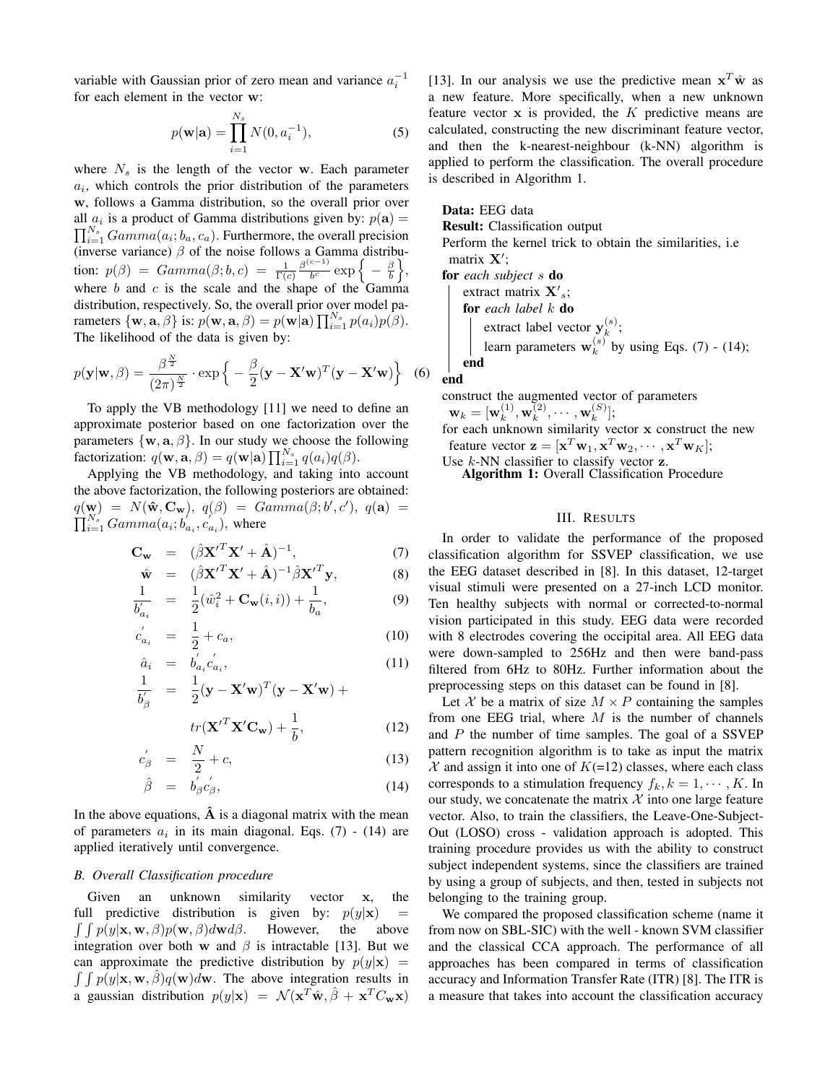variable with Gaussian prior of zero mean and variance  $a_i^{-1}$ for each element in the vector w:

$$
p(\mathbf{w}|\mathbf{a}) = \prod_{i=1}^{N_s} N(0, a_i^{-1}),
$$
 (5)

where  $N<sub>s</sub>$  is the length of the vector w. Each parameter  $a_i$ , which controls the prior distribution of the parameters w, follows a Gamma distribution, so the overall prior over all  $a_i$  is a product of Gamma distributions given by:  $p(\mathbf{a}) =$  $\prod_{i=1}^{N_s}Gamma(a_i; b_a, c_a)$ . Furthermore, the overall precision (inverse variance)  $\beta$  of the noise follows a Gamma distribution:  $p(\beta) = Gamma(\beta; b, c) = \frac{1}{\Gamma(c)} \frac{\beta^{(c-1)}}{b^c}$  $\frac{c-1)}{b^c} \exp \Big\{ - \frac{\beta}{b} \Big\},$ where b and c is the scale and the shape of the Gamma distribution, respectively. So, the overall prior over model parameters  $\{ \mathbf{w}, \mathbf{a}, \beta \}$  is:  $p(\mathbf{w}, \mathbf{a}, \beta) = p(\mathbf{w}|\mathbf{a}) \prod_{i=1}^{N_s} p(a_i)p(\beta)$ . The likelihood of the data is given by:

$$
p(\mathbf{y}|\mathbf{w}, \beta) = \frac{\beta^{\frac{N}{2}}}{(2\pi)^{\frac{N}{2}}} \cdot \exp\left\{-\frac{\beta}{2}(\mathbf{y} - \mathbf{X}'\mathbf{w})^T(\mathbf{y} - \mathbf{X}'\mathbf{w})\right\}
$$
(6)

To apply the VB methodology [11] we need to define an approximate posterior based on one factorization over the parameters  $\{w, a, \beta\}$ . In our study we choose the following factorization:  $q(\mathbf{w}, \mathbf{a}, \beta) = q(\mathbf{w}|\mathbf{a}) \prod_{i=1}^{N_s} q(a_i)q(\beta)$ .

Applying the VB methodology, and taking into account the above factorization, the following posteriors are obtained:  $q(\mathbf{w}) = N(\mathbf{\hat{w}}, \mathbf{C_w}), q(\beta) = Gamma(\beta; b', c'), q(\mathbf{a}) =$  $\prod_{i=1}^{N_s} Gamma(a_i; b'_{a_i}, c'_{a_i})$ , where

$$
\mathbf{C}_{\mathbf{w}} = (\hat{\beta} \mathbf{X}'^T \mathbf{X}' + \hat{\mathbf{A}})^{-1}, \tag{7}
$$

$$
\hat{\mathbf{w}} = (\hat{\beta}\mathbf{X}'^T\mathbf{X}' + \hat{\mathbf{A}})^{-1}\hat{\beta}\mathbf{X}'^T\mathbf{y},
$$
\n(8)

$$
\frac{1}{b'_{a_i}} = \frac{1}{2}(\hat{w}_i^2 + \mathbf{C}_{\mathbf{w}}(i, i)) + \frac{1}{b_a},
$$
\n(9)

$$
c'_{a_i} = \frac{1}{2} + c_a,\tag{10}
$$

$$
\hat{a}_i = b_{a_i} c_{a_i},
$$
\n
$$
\frac{1}{b'_\beta} = \frac{1}{2} (\mathbf{y} - \mathbf{X}'\mathbf{w})^T (\mathbf{y} - \mathbf{X}'\mathbf{w}) +
$$
\n(11)

$$
tr(\mathbf{X'}^T \mathbf{X'} \mathbf{C_w}) + \frac{1}{b},\tag{12}
$$

$$
\begin{array}{rcl}\n\lambda' & = & \frac{N}{2} + c, \\
\lambda' & & \lambda' \\
\end{array}\n\tag{13}
$$

$$
\hat{\beta} = b_{\beta}^{'} c_{\beta}^{'}, \tag{14}
$$

In the above equations,  $\vec{A}$  is a diagonal matrix with the mean of parameters  $a_i$  in its main diagonal. Eqs. (7) - (14) are applied iteratively until convergence.

#### *B. Overall Classification procedure*

c

Given an unknown similarity vector x, the full predictive distribution is given by:  $p(y|\mathbf{x})$  =  $\int \int p(y|\mathbf{x}, \mathbf{w}, \beta)p(\mathbf{w}, \beta)d\mathbf{w}d\beta$ . However, the above integration over both w and  $\beta$  is intractable [13]. But we can approximate the predictive distribution by  $p(y|\mathbf{x})$  =  $\int \int p(y|\mathbf{x}, \mathbf{w}, \beta)q(\mathbf{w})d\mathbf{w}$ . The above integration results in a gaussian distribution  $p(y|\mathbf{x}) = \mathcal{N}(\mathbf{x}^T \hat{\mathbf{w}}, \hat{\beta} + \mathbf{x}^T C_{\mathbf{w}} \mathbf{x})$ 

[13]. In our analysis we use the predictive mean  $x^T \hat{w}$  as a new feature. More specifically, when a new unknown feature vector  $x$  is provided, the  $K$  predictive means are calculated, constructing the new discriminant feature vector, and then the k-nearest-neighbour (k-NN) algorithm is applied to perform the classification. The overall procedure is described in Algorithm 1.

Data: EEG data Result: Classification output Perform the kernel trick to obtain the similarities, i.e matrix  $X'$ ; for *each subject* s do extract matrix  $X'_{s}$ ; for *each label* k do extract label vector  $y_k^{(s)}$  $\binom{s}{k}$ ; learn parameters  $\mathbf{w}_k^{(s)}$  $k^{(s)}$  by using Eqs. (7) - (14); end

end

construct the augmented vector of parameters

$$
\mathbf{w}_k = [\mathbf{w}_k^{(1)}, \mathbf{w}_k^{(2)}, \cdots, \mathbf{w}_k^{(S)}];
$$
  
for each unknown similarity vector **x** construct the new  
feature vector  $\mathbf{z} = [\mathbf{x}^T \mathbf{w}_1, \mathbf{x}^T \mathbf{w}_2, \cdots, \mathbf{x}^T \mathbf{w}_K];$ 

Use  $k$ -NN classifier to classify vector  $z$ .

Algorithm 1: Overall Classification Procedure

## III. RESULTS

In order to validate the performance of the proposed classification algorithm for SSVEP classification, we use the EEG dataset described in [8]. In this dataset, 12-target visual stimuli were presented on a 27-inch LCD monitor. Ten healthy subjects with normal or corrected-to-normal vision participated in this study. EEG data were recorded with 8 electrodes covering the occipital area. All EEG data were down-sampled to 256Hz and then were band-pass filtered from 6Hz to 80Hz. Further information about the preprocessing steps on this dataset can be found in [8].

Let X be a matrix of size  $M \times P$  containing the samples from one EEG trial, where  $M$  is the number of channels and  $P$  the number of time samples. The goal of a SSVEP pattern recognition algorithm is to take as input the matrix  $X$  and assign it into one of  $K(=12)$  classes, where each class corresponds to a stimulation frequency  $f_k, k = 1, \dots, K$ . In our study, we concatenate the matrix  $\mathcal X$  into one large feature vector. Also, to train the classifiers, the Leave-One-Subject-Out (LOSO) cross - validation approach is adopted. This training procedure provides us with the ability to construct subject independent systems, since the classifiers are trained by using a group of subjects, and then, tested in subjects not belonging to the training group.

We compared the proposed classification scheme (name it from now on SBL-SIC) with the well - known SVM classifier and the classical CCA approach. The performance of all approaches has been compared in terms of classification accuracy and Information Transfer Rate (ITR) [8]. The ITR is a measure that takes into account the classification accuracy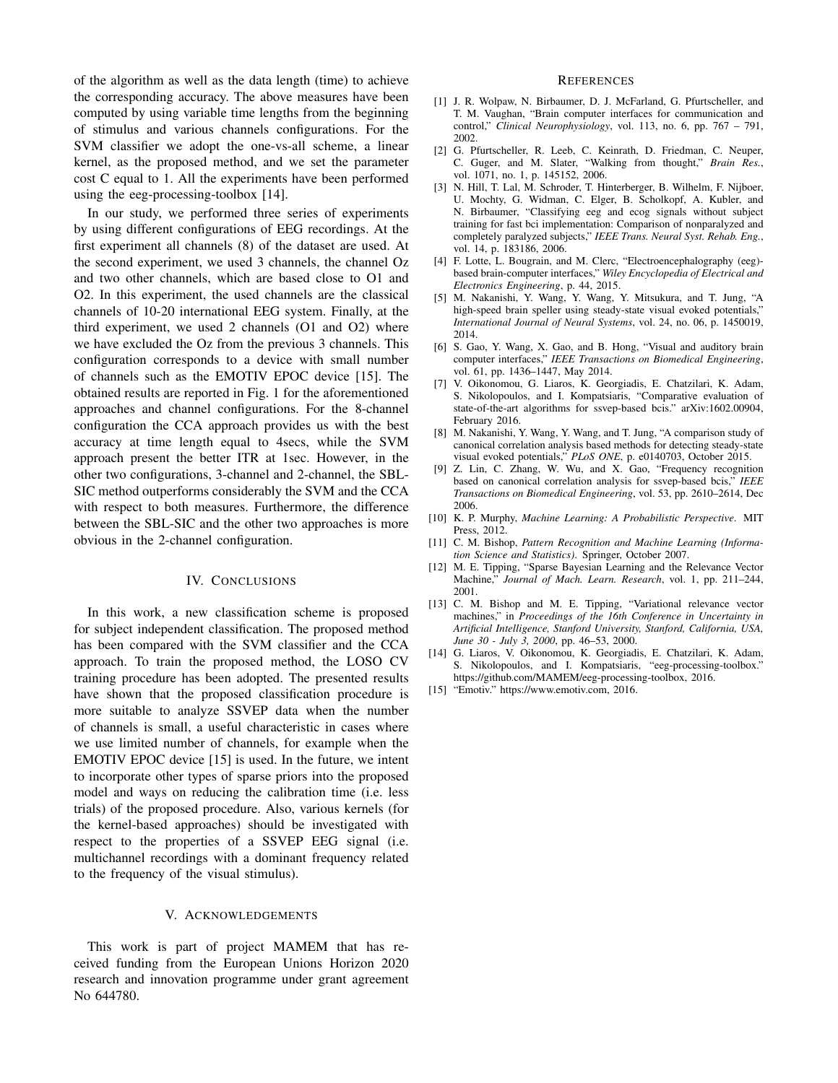of the algorithm as well as the data length (time) to achieve the corresponding accuracy. The above measures have been computed by using variable time lengths from the beginning of stimulus and various channels configurations. For the SVM classifier we adopt the one-vs-all scheme, a linear kernel, as the proposed method, and we set the parameter cost C equal to 1. All the experiments have been performed using the eeg-processing-toolbox [14].

In our study, we performed three series of experiments by using different configurations of EEG recordings. At the first experiment all channels (8) of the dataset are used. At the second experiment, we used 3 channels, the channel Oz and two other channels, which are based close to O1 and O2. In this experiment, the used channels are the classical channels of 10-20 international EEG system. Finally, at the third experiment, we used 2 channels (O1 and O2) where we have excluded the Oz from the previous 3 channels. This configuration corresponds to a device with small number of channels such as the EMOTIV EPOC device [15]. The obtained results are reported in Fig. 1 for the aforementioned approaches and channel configurations. For the 8-channel configuration the CCA approach provides us with the best accuracy at time length equal to 4secs, while the SVM approach present the better ITR at 1sec. However, in the other two configurations, 3-channel and 2-channel, the SBL-SIC method outperforms considerably the SVM and the CCA with respect to both measures. Furthermore, the difference between the SBL-SIC and the other two approaches is more obvious in the 2-channel configuration.

#### IV. CONCLUSIONS

In this work, a new classification scheme is proposed for subject independent classification. The proposed method has been compared with the SVM classifier and the CCA approach. To train the proposed method, the LOSO CV training procedure has been adopted. The presented results have shown that the proposed classification procedure is more suitable to analyze SSVEP data when the number of channels is small, a useful characteristic in cases where we use limited number of channels, for example when the EMOTIV EPOC device [15] is used. In the future, we intent to incorporate other types of sparse priors into the proposed model and ways on reducing the calibration time (i.e. less trials) of the proposed procedure. Also, various kernels (for the kernel-based approaches) should be investigated with respect to the properties of a SSVEP EEG signal (i.e. multichannel recordings with a dominant frequency related to the frequency of the visual stimulus).

### V. ACKNOWLEDGEMENTS

This work is part of project MAMEM that has received funding from the European Unions Horizon 2020 research and innovation programme under grant agreement No 644780.

#### **REFERENCES**

- [1] J. R. Wolpaw, N. Birbaumer, D. J. McFarland, G. Pfurtscheller, and T. M. Vaughan, "Brain computer interfaces for communication and control," *Clinical Neurophysiology*, vol. 113, no. 6, pp. 767 – 791, 2002.
- [2] G. Pfurtscheller, R. Leeb, C. Keinrath, D. Friedman, C. Neuper, C. Guger, and M. Slater, "Walking from thought," *Brain Res.*, vol. 1071, no. 1, p. 145152, 2006.
- [3] N. Hill, T. Lal, M. Schroder, T. Hinterberger, B. Wilhelm, F. Nijboer, U. Mochty, G. Widman, C. Elger, B. Scholkopf, A. Kubler, and N. Birbaumer, "Classifying eeg and ecog signals without subject training for fast bci implementation: Comparison of nonparalyzed and completely paralyzed subjects," *IEEE Trans. Neural Syst. Rehab. Eng.*, vol. 14, p. 183186, 2006.
- [4] F. Lotte, L. Bougrain, and M. Clerc, "Electroencephalography (eeg)based brain-computer interfaces," *Wiley Encyclopedia of Electrical and Electronics Engineering*, p. 44, 2015.
- [5] M. Nakanishi, Y. Wang, Y. Wang, Y. Mitsukura, and T. Jung, "A high-speed brain speller using steady-state visual evoked potentials,' *International Journal of Neural Systems*, vol. 24, no. 06, p. 1450019, 2014.
- [6] S. Gao, Y. Wang, X. Gao, and B. Hong, "Visual and auditory brain computer interfaces," *IEEE Transactions on Biomedical Engineering*, vol. 61, pp. 1436–1447, May 2014.
- [7] V. Oikonomou, G. Liaros, K. Georgiadis, E. Chatzilari, K. Adam, S. Nikolopoulos, and I. Kompatsiaris, "Comparative evaluation of state-of-the-art algorithms for ssvep-based bcis." arXiv:1602.00904, February 2016.
- [8] M. Nakanishi, Y. Wang, Y. Wang, and T. Jung, "A comparison study of canonical correlation analysis based methods for detecting steady-state visual evoked potentials," *PLoS ONE*, p. e0140703, October 2015.
- [9] Z. Lin, C. Zhang, W. Wu, and X. Gao, "Frequency recognition based on canonical correlation analysis for ssvep-based bcis," *IEEE Transactions on Biomedical Engineering*, vol. 53, pp. 2610–2614, Dec 2006.
- [10] K. P. Murphy, *Machine Learning: A Probabilistic Perspective*. MIT Press, 2012.
- [11] C. M. Bishop, *Pattern Recognition and Machine Learning (Information Science and Statistics)*. Springer, October 2007.
- [12] M. E. Tipping, "Sparse Bayesian Learning and the Relevance Vector Machine," *Journal of Mach. Learn. Research*, vol. 1, pp. 211–244, 2001.
- [13] C. M. Bishop and M. E. Tipping, "Variational relevance vector machines," in *Proceedings of the 16th Conference in Uncertainty in Artificial Intelligence, Stanford University, Stanford, California, USA, June 30 - July 3, 2000*, pp. 46–53, 2000.
- [14] G. Liaros, V. Oikonomou, K. Georgiadis, E. Chatzilari, K. Adam, S. Nikolopoulos, and I. Kompatsiaris, "eeg-processing-toolbox." https://github.com/MAMEM/eeg-processing-toolbox, 2016.
- [15] "Emotiv." https://www.emotiv.com, 2016.